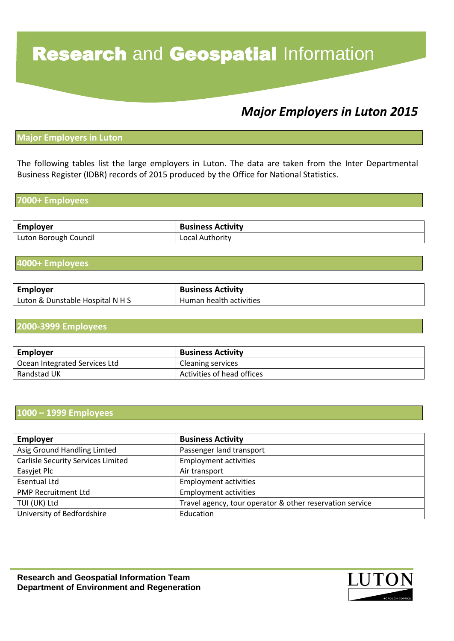# **Research and Geospatial Information**

# *Major Employers in Luton 2015*

#### **Major Employers in Luton**

The following tables list the large employers in Luton. The data are taken from the Inter Departmental Business Register (IDBR) records of 2015 produced by the Office for National Statistics.

#### **7000+ Employees**

| <b>Employer</b>       | <b>Business Activity</b> |
|-----------------------|--------------------------|
| Luton Borough Council | Local Authority          |

#### **4000+ Employees**

| <b>Employer</b>                  | <b>Business Activity</b> |
|----------------------------------|--------------------------|
| Luton & Dunstable Hospital N H S | Human health activities  |

#### **2000-3999 Employees**

| <b>Employer</b>               | <b>Business Activity</b>   |
|-------------------------------|----------------------------|
| Ocean Integrated Services Ltd | Cleaning services          |
| Randstad UK                   | Activities of head offices |

#### **1000 – 1999 Employees**

| <b>Employer</b>                    | <b>Business Activity</b>                                 |
|------------------------------------|----------------------------------------------------------|
| Asig Ground Handling Limted        | Passenger land transport                                 |
| Carlisle Security Services Limited | <b>Employment activities</b>                             |
| Easyjet Plc                        | Air transport                                            |
| <b>Esentual Ltd</b>                | <b>Employment activities</b>                             |
| <b>PMP Recruitment Ltd</b>         | <b>Employment activities</b>                             |
| TUI (UK) Ltd                       | Travel agency, tour operator & other reservation service |
| University of Bedfordshire         | Education                                                |

**Research and Geospatial Information Team Department of Environment and Regeneration**

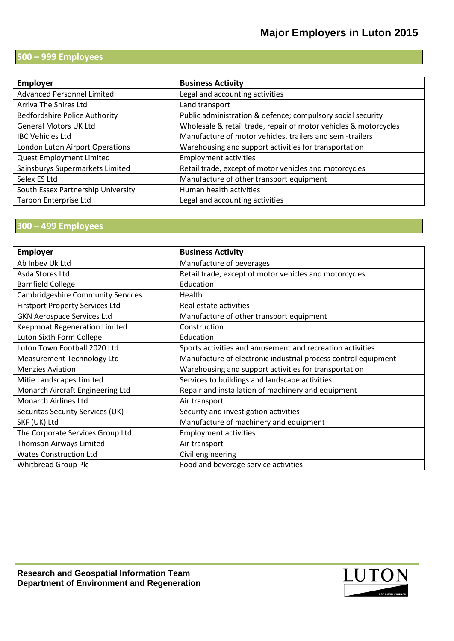### **500 – 999 Employees**

| <b>Employer</b>                      | <b>Business Activity</b>                                         |
|--------------------------------------|------------------------------------------------------------------|
| <b>Advanced Personnel Limited</b>    | Legal and accounting activities                                  |
| Arriva The Shires Ltd                | Land transport                                                   |
| <b>Bedfordshire Police Authority</b> | Public administration & defence; compulsory social security      |
| <b>General Motors UK Ltd</b>         | Wholesale & retail trade, repair of motor vehicles & motorcycles |
| <b>IBC Vehicles Ltd</b>              | Manufacture of motor vehicles, trailers and semi-trailers        |
| London Luton Airport Operations      | Warehousing and support activities for transportation            |
| <b>Quest Employment Limited</b>      | <b>Employment activities</b>                                     |
| Sainsburys Supermarkets Limited      | Retail trade, except of motor vehicles and motorcycles           |
| Selex ES Ltd                         | Manufacture of other transport equipment                         |
| South Essex Partnership University   | Human health activities                                          |
| <b>Tarpon Enterprise Ltd</b>         | Legal and accounting activities                                  |

### **300 – 499 Employees**

| <b>Employer</b>                          | <b>Business Activity</b>                                       |
|------------------------------------------|----------------------------------------------------------------|
| Ab Inbev Uk Ltd                          | Manufacture of beverages                                       |
| Asda Stores Ltd                          | Retail trade, except of motor vehicles and motorcycles         |
| <b>Barnfield College</b>                 | Education                                                      |
| <b>Cambridgeshire Community Services</b> | Health                                                         |
| <b>Firstport Property Services Ltd</b>   | Real estate activities                                         |
| <b>GKN Aerospace Services Ltd</b>        | Manufacture of other transport equipment                       |
| <b>Keepmoat Regeneration Limited</b>     | Construction                                                   |
| Luton Sixth Form College                 | Education                                                      |
| Luton Town Football 2020 Ltd             | Sports activities and amusement and recreation activities      |
| Measurement Technology Ltd               | Manufacture of electronic industrial process control equipment |
| <b>Menzies Aviation</b>                  | Warehousing and support activities for transportation          |
| Mitie Landscapes Limited                 | Services to buildings and landscape activities                 |
| Monarch Aircraft Engineering Ltd         | Repair and installation of machinery and equipment             |
| <b>Monarch Airlines Ltd</b>              | Air transport                                                  |
| Securitas Security Services (UK)         | Security and investigation activities                          |
| SKF (UK) Ltd                             | Manufacture of machinery and equipment                         |
| The Corporate Services Group Ltd         | <b>Employment activities</b>                                   |
| Thomson Airways Limited                  | Air transport                                                  |
| <b>Wates Construction Ltd</b>            | Civil engineering                                              |
| <b>Whitbread Group Plc</b>               | Food and beverage service activities                           |

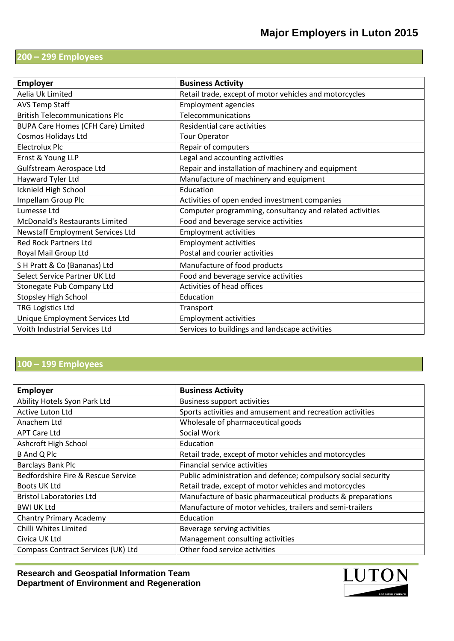## **200 – 299 Employees**

| <b>Employer</b>                           | <b>Business Activity</b>                                 |
|-------------------------------------------|----------------------------------------------------------|
| Aelia Uk Limited                          | Retail trade, except of motor vehicles and motorcycles   |
| <b>AVS Temp Staff</b>                     | <b>Employment agencies</b>                               |
| <b>British Telecommunications Plc</b>     | Telecommunications                                       |
| <b>BUPA Care Homes (CFH Care) Limited</b> | Residential care activities                              |
| <b>Cosmos Holidays Ltd</b>                | <b>Tour Operator</b>                                     |
| <b>Electrolux Plc</b>                     | Repair of computers                                      |
| Ernst & Young LLP                         | Legal and accounting activities                          |
| Gulfstream Aerospace Ltd                  | Repair and installation of machinery and equipment       |
| Hayward Tyler Ltd                         | Manufacture of machinery and equipment                   |
| Icknield High School                      | Education                                                |
| Impellam Group Plc                        | Activities of open ended investment companies            |
| Lumesse Ltd                               | Computer programming, consultancy and related activities |
| <b>McDonald's Restaurants Limited</b>     | Food and beverage service activities                     |
| Newstaff Employment Services Ltd          | <b>Employment activities</b>                             |
| <b>Red Rock Partners Ltd</b>              | <b>Employment activities</b>                             |
| Royal Mail Group Ltd                      | Postal and courier activities                            |
| S H Pratt & Co (Bananas) Ltd              | Manufacture of food products                             |
| Select Service Partner UK Ltd             | Food and beverage service activities                     |
| Stonegate Pub Company Ltd                 | Activities of head offices                               |
| <b>Stopsley High School</b>               | Education                                                |
| <b>TRG Logistics Ltd</b>                  | Transport                                                |
| Unique Employment Services Ltd            | <b>Employment activities</b>                             |
| Voith Industrial Services Ltd             | Services to buildings and landscape activities           |

## **100 – 199 Employees**

| <b>Employer</b>                    | <b>Business Activity</b>                                      |
|------------------------------------|---------------------------------------------------------------|
| Ability Hotels Syon Park Ltd       | <b>Business support activities</b>                            |
| <b>Active Luton Ltd</b>            | Sports activities and amusement and recreation activities     |
| Anachem Ltd                        | Wholesale of pharmaceutical goods                             |
| <b>APT Care Ltd</b>                | Social Work                                                   |
| Ashcroft High School               | Education                                                     |
| <b>B</b> And Q Plc                 | Retail trade, except of motor vehicles and motorcycles        |
| <b>Barclays Bank Plc</b>           | Financial service activities                                  |
| Bedfordshire Fire & Rescue Service | Public administration and defence; compulsory social security |
| Boots UK Ltd                       | Retail trade, except of motor vehicles and motorcycles        |
| <b>Bristol Laboratories Ltd</b>    | Manufacture of basic pharmaceutical products & preparations   |
| BWI UK Ltd                         | Manufacture of motor vehicles, trailers and semi-trailers     |
| <b>Chantry Primary Academy</b>     | Education                                                     |
| Chilli Whites Limited              | Beverage serving activities                                   |
| Civica UK Ltd                      | Management consulting activities                              |
| Compass Contract Services (UK) Ltd | Other food service activities                                 |

**Research and Geospatial Information Team Department of Environment and Regeneration**

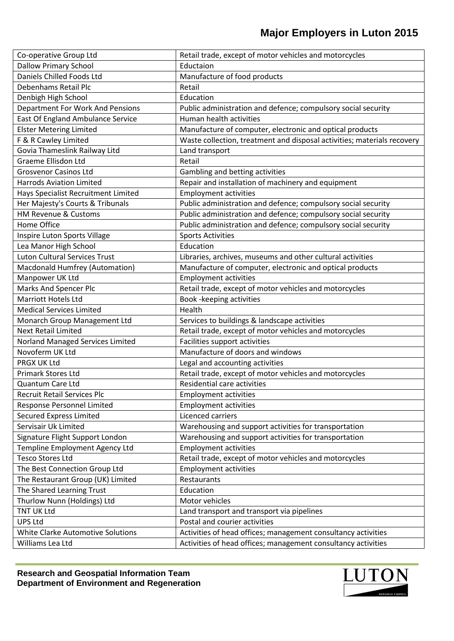| Co-operative Group Ltd                | Retail trade, except of motor vehicles and motorcycles                  |
|---------------------------------------|-------------------------------------------------------------------------|
| <b>Dallow Primary School</b>          | Eductaion                                                               |
| Daniels Chilled Foods Ltd             | Manufacture of food products                                            |
| Debenhams Retail Plc                  | Retail                                                                  |
| Denbigh High School                   | Education                                                               |
| Department For Work And Pensions      | Public administration and defence; compulsory social security           |
| East Of England Ambulance Service     | Human health activities                                                 |
| <b>Elster Metering Limited</b>        | Manufacture of computer, electronic and optical products                |
| F & R Cawley Limited                  | Waste collection, treatment and disposal activities; materials recovery |
| Govia Thameslink Railway Litd         | Land transport                                                          |
| Graeme Ellisdon Ltd                   | Retail                                                                  |
| <b>Grosvenor Casinos Ltd</b>          | Gambling and betting activities                                         |
| <b>Harrods Aviation Limited</b>       | Repair and installation of machinery and equipment                      |
| Hays Specialist Recruitment Limited   | <b>Employment activities</b>                                            |
| Her Majesty's Courts & Tribunals      | Public administration and defence; compulsory social security           |
| HM Revenue & Customs                  | Public administration and defence; compulsory social security           |
| Home Office                           | Public administration and defence; compulsory social security           |
| Inspire Luton Sports Village          | <b>Sports Activities</b>                                                |
| Lea Manor High School                 | Education                                                               |
| <b>Luton Cultural Services Trust</b>  | Libraries, archives, museums and other cultural activities              |
| <b>Macdonald Humfrey (Automation)</b> | Manufacture of computer, electronic and optical products                |
| Manpower UK Ltd                       | <b>Employment activities</b>                                            |
| <b>Marks And Spencer Plc</b>          | Retail trade, except of motor vehicles and motorcycles                  |
| <b>Marriott Hotels Ltd</b>            | Book - keeping activities                                               |
| <b>Medical Services Limited</b>       | Health                                                                  |
| Monarch Group Management Ltd          | Services to buildings & landscape activities                            |
| <b>Next Retail Limited</b>            | Retail trade, except of motor vehicles and motorcycles                  |
| Norland Managed Services Limited      | Facilities support activities                                           |
| Novoferm UK Ltd                       | Manufacture of doors and windows                                        |
| PRGX UK Ltd                           | Legal and accounting activities                                         |
| Primark Stores Ltd                    | Retail trade, except of motor vehicles and motorcycles                  |
| Quantum Care Ltd                      | Residential care activities                                             |
| Recruit Retail Services Plc           | <b>Employment activities</b>                                            |
| Response Personnel Limited            | <b>Employment activities</b>                                            |
| <b>Secured Express Limited</b>        | Licenced carriers                                                       |
| Servisair Uk Limited                  | Warehousing and support activities for transportation                   |
| Signature Flight Support London       | Warehousing and support activities for transportation                   |
| Templine Employment Agency Ltd        | <b>Employment activities</b>                                            |
| <b>Tesco Stores Ltd</b>               | Retail trade, except of motor vehicles and motorcycles                  |
| The Best Connection Group Ltd         | <b>Employment activities</b>                                            |
| The Restaurant Group (UK) Limited     | Restaurants                                                             |
| The Shared Learning Trust             | Education                                                               |
| Thurlow Nunn (Holdings) Ltd           | Motor vehicles                                                          |
| TNT UK Ltd                            | Land transport and transport via pipelines                              |
| <b>UPS Ltd</b>                        | Postal and courier activities                                           |
| White Clarke Automotive Solutions     | Activities of head offices; management consultancy activities           |
| Williams Lea Ltd                      | Activities of head offices; management consultancy activities           |